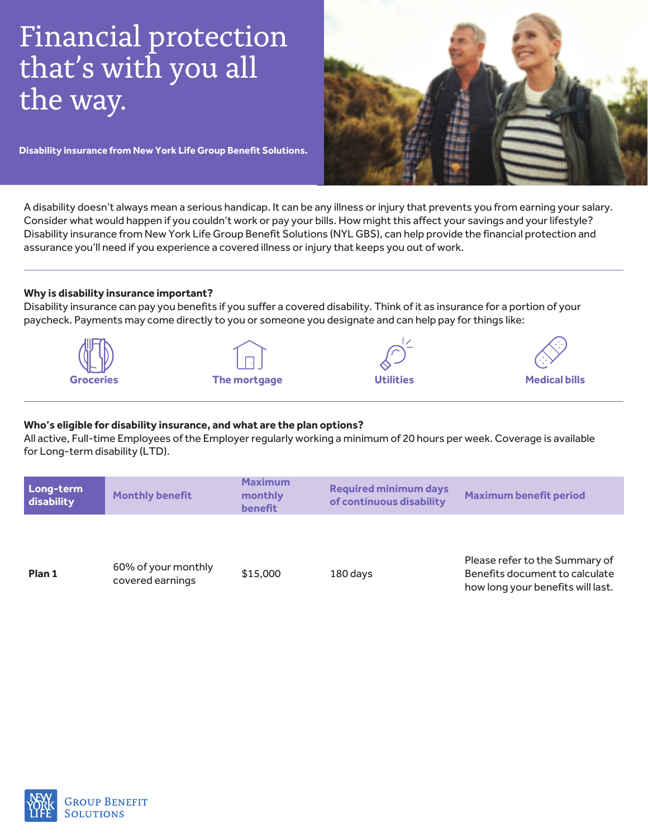# Financial protection that's with you all the way.

**Disability insurance from New York Life Group Benefit Solutions.** 

A disability doesn't always mean a serious handicap. It can be any illness or injury that prevents you from earning your salary. Consider what would happen if you couldn't work or pay your bills. How might this affect your savings and your lifestyle? Disability insurance from New York Life Group Benefit Solutions (NYL GBS), can help provide the financial protection and assurance you'll need if you experience a covered illness or injury that keeps you out of work.

## **Why is disability insurance important?**

Disability insurance can pay you benefits if you suffer a covered disability. Think of it as insurance for a portion of your paycheck. Payments may come directly to you or someone you designate and can help pay for things like:



# Who's eligible for disability insurance, and what are the plan options?

All active, Full-time Employees of the Employer regularly working a minimum of 20 hours per week. Coverage is available for Long-term disability (LTD).

| Please refer to the Summary of<br>Benefits document to calculate |
|------------------------------------------------------------------|
| how long your benefits will last.                                |